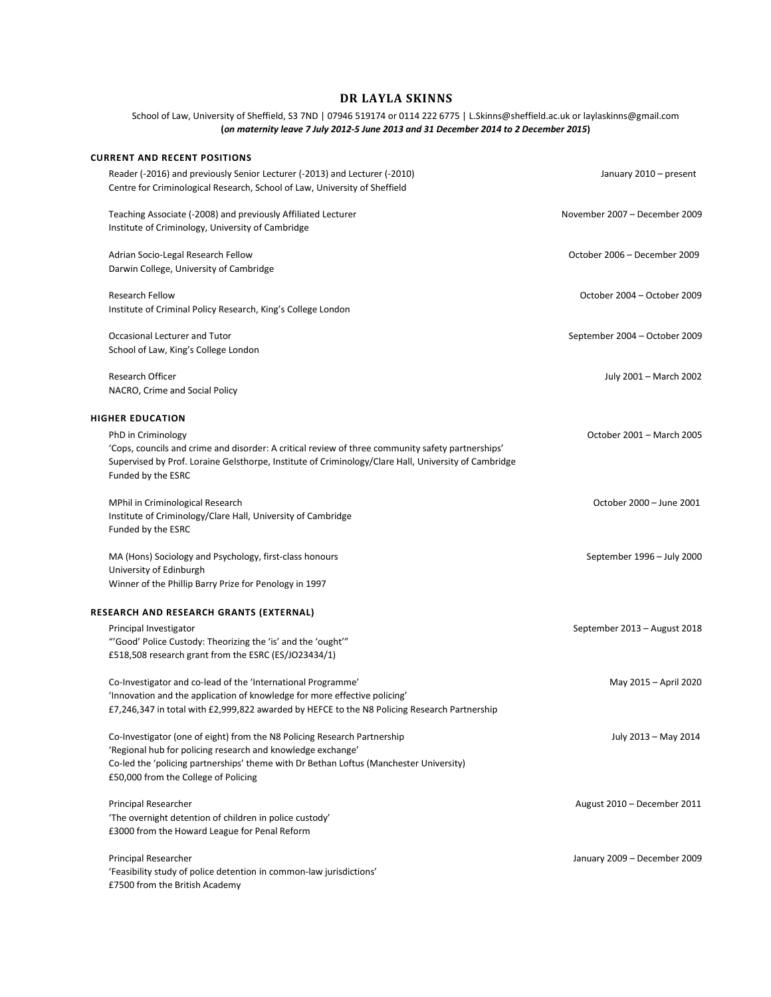## **DR LAYLA SKINNS**

School of Law, University of Sheffield, S3 7ND | 07946 519174 or 0114 222 6775 [| L.Skinns@sheffield.ac.uk](mailto:L.Skinns@sheffield.ac.uk) or laylaskinns@gmail.com **(***on maternity leave 7 July 2012-5 June 2013 and 31 December 2014 to 2 December 2015***)**

## **CURRENT AND RECENT POSITIONS**

| Reader (-2016) and previously Senior Lecturer (-2013) and Lecturer (-2010)<br>Centre for Criminological Research, School of Law, University of Sheffield                                                                                              | January 2010 - present        |
|-------------------------------------------------------------------------------------------------------------------------------------------------------------------------------------------------------------------------------------------------------|-------------------------------|
| Teaching Associate (-2008) and previously Affiliated Lecturer<br>Institute of Criminology, University of Cambridge                                                                                                                                    | November 2007 - December 2009 |
| Adrian Socio-Legal Research Fellow                                                                                                                                                                                                                    | October 2006 - December 2009  |
| Darwin College, University of Cambridge                                                                                                                                                                                                               |                               |
| <b>Research Fellow</b><br>Institute of Criminal Policy Research, King's College London                                                                                                                                                                | October 2004 - October 2009   |
| Occasional Lecturer and Tutor                                                                                                                                                                                                                         | September 2004 - October 2009 |
| School of Law, King's College London                                                                                                                                                                                                                  |                               |
| Research Officer<br>NACRO, Crime and Social Policy                                                                                                                                                                                                    | July 2001 - March 2002        |
|                                                                                                                                                                                                                                                       |                               |
| <b>HIGHER EDUCATION</b>                                                                                                                                                                                                                               |                               |
| PhD in Criminology<br>'Cops, councils and crime and disorder: A critical review of three community safety partnerships'<br>Supervised by Prof. Loraine Gelsthorpe, Institute of Criminology/Clare Hall, University of Cambridge<br>Funded by the ESRC | October 2001 - March 2005     |
| MPhil in Criminological Research                                                                                                                                                                                                                      | October 2000 - June 2001      |
| Institute of Criminology/Clare Hall, University of Cambridge<br>Funded by the ESRC                                                                                                                                                                    |                               |
| MA (Hons) Sociology and Psychology, first-class honours                                                                                                                                                                                               | September 1996 - July 2000    |
| University of Edinburgh<br>Winner of the Phillip Barry Prize for Penology in 1997                                                                                                                                                                     |                               |
| RESEARCH AND RESEARCH GRANTS (EXTERNAL)                                                                                                                                                                                                               |                               |
| Principal Investigator<br>"'Good' Police Custody: Theorizing the 'is' and the 'ought'"<br>£518,508 research grant from the ESRC (ES/JO23434/1)                                                                                                        | September 2013 - August 2018  |
| Co-Investigator and co-lead of the 'International Programme'                                                                                                                                                                                          | May 2015 - April 2020         |
| 'Innovation and the application of knowledge for more effective policing'<br>£7,246,347 in total with £2,999,822 awarded by HEFCE to the N8 Policing Research Partnership                                                                             |                               |
| Co-Investigator (one of eight) from the N8 Policing Research Partnership<br>'Regional hub for policing research and knowledge exchange'                                                                                                               | July 2013 - May 2014          |
| Co-led the 'policing partnerships' theme with Dr Bethan Loftus (Manchester University)<br>£50,000 from the College of Policing                                                                                                                        |                               |
| Principal Researcher                                                                                                                                                                                                                                  | August 2010 - December 2011   |
| 'The overnight detention of children in police custody'<br>£3000 from the Howard League for Penal Reform                                                                                                                                              |                               |
| Principal Researcher<br>'Feasibility study of police detention in common-law jurisdictions'<br>£7500 from the British Academy                                                                                                                         | January 2009 - December 2009  |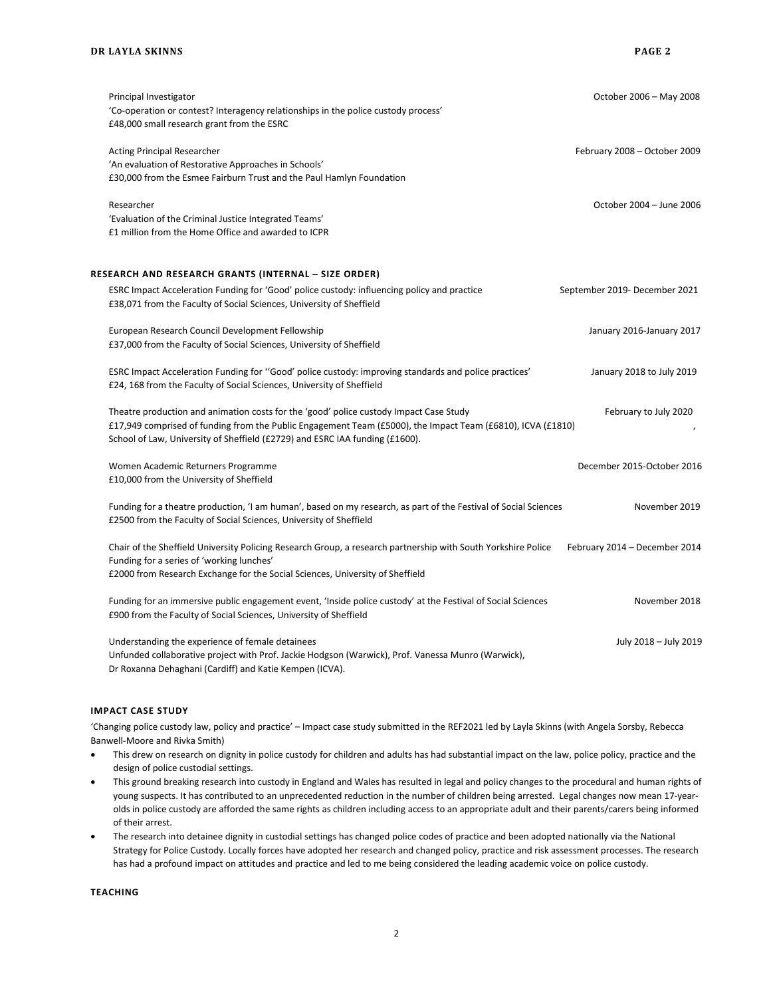| Principal Investigator                                                                                           | October 2006 - May 2008       |
|------------------------------------------------------------------------------------------------------------------|-------------------------------|
| 'Co-operation or contest? Interagency relationships in the police custody process'                               |                               |
| £48,000 small research grant from the ESRC                                                                       |                               |
| <b>Acting Principal Researcher</b>                                                                               | February 2008 - October 2009  |
| 'An evaluation of Restorative Approaches in Schools'                                                             |                               |
| £30,000 from the Esmee Fairburn Trust and the Paul Hamlyn Foundation                                             |                               |
| Researcher                                                                                                       | October 2004 - June 2006      |
| 'Evaluation of the Criminal Justice Integrated Teams'                                                            |                               |
| £1 million from the Home Office and awarded to ICPR                                                              |                               |
| RESEARCH AND RESEARCH GRANTS (INTERNAL – SIZE ORDER)                                                             |                               |
| ESRC Impact Acceleration Funding for 'Good' police custody: influencing policy and practice                      | September 2019- December 2021 |
| £38,071 from the Faculty of Social Sciences, University of Sheffield                                             |                               |
| European Research Council Development Fellowship                                                                 | January 2016-January 2017     |
| £37,000 from the Faculty of Social Sciences, University of Sheffield                                             |                               |
| "ESRC Impact Acceleration Funding for "Good' police custody: improving standards and police practices            | January 2018 to July 2019     |
| £24, 168 from the Faculty of Social Sciences, University of Sheffield                                            |                               |
| Theatre production and animation costs for the 'good' police custody Impact Case Study                           | February to July 2020         |
| £17,949 comprised of funding from the Public Engagement Team (£5000), the Impact Team (£6810), ICVA (£1810)      |                               |
| School of Law, University of Sheffield (£2729) and ESRC IAA funding (£1600).                                     |                               |
| Women Academic Returners Programme                                                                               | December 2015-October 2016    |
| £10,000 from the University of Sheffield                                                                         |                               |
| Funding for a theatre production, 'I am human', based on my research, as part of the Festival of Social Sciences | November 2019                 |
| £2500 from the Faculty of Social Sciences, University of Sheffield                                               |                               |
| Chair of the Sheffield University Policing Research Group, a research partnership with South Yorkshire Police    | February 2014 - December 2014 |
| Funding for a series of 'working lunches'                                                                        |                               |
| £2000 from Research Exchange for the Social Sciences, University of Sheffield                                    |                               |
| Funding for an immersive public engagement event, 'Inside police custody' at the Festival of Social Sciences     | November 2018                 |
| £900 from the Faculty of Social Sciences, University of Sheffield                                                |                               |
| Understanding the experience of female detainees                                                                 | July 2018 - July 2019         |
| Unfunded collaborative project with Prof. Jackie Hodgson (Warwick), Prof. Vanessa Munro (Warwick),               |                               |
| Dr Roxanna Dehaghani (Cardiff) and Katie Kempen (ICVA).                                                          |                               |

### **IMPACT CASE STUDY**

'Changing police custody law, policy and practice' – Impact case study submitted in the REF2021 led by Layla Skinns (with Angela Sorsby, Rebecca Banwell-Moore and Rivka Smith)

- This drew on research on dignity in police custody for children and adults has had substantial impact on the law, police policy, practice and the design of police custodial settings.
- This ground breaking research into custody in England and Wales has resulted in legal and policy changes to the procedural and human rights of young suspects. It has contributed to an unprecedented reduction in the number of children being arrested. Legal changes now mean 17-yearolds in police custody are afforded the same rights as children including access to an appropriate adult and their parents/carers being informed of their arrest.
- The research into detainee dignity in custodial settings has changed police codes of practice and been adopted nationally via the National Strategy for Police Custody. Locally forces have adopted her research and changed policy, practice and risk assessment processes. The research has had a profound impact on attitudes and practice and led to me being considered the leading academic voice on police custody.

**TEACHING**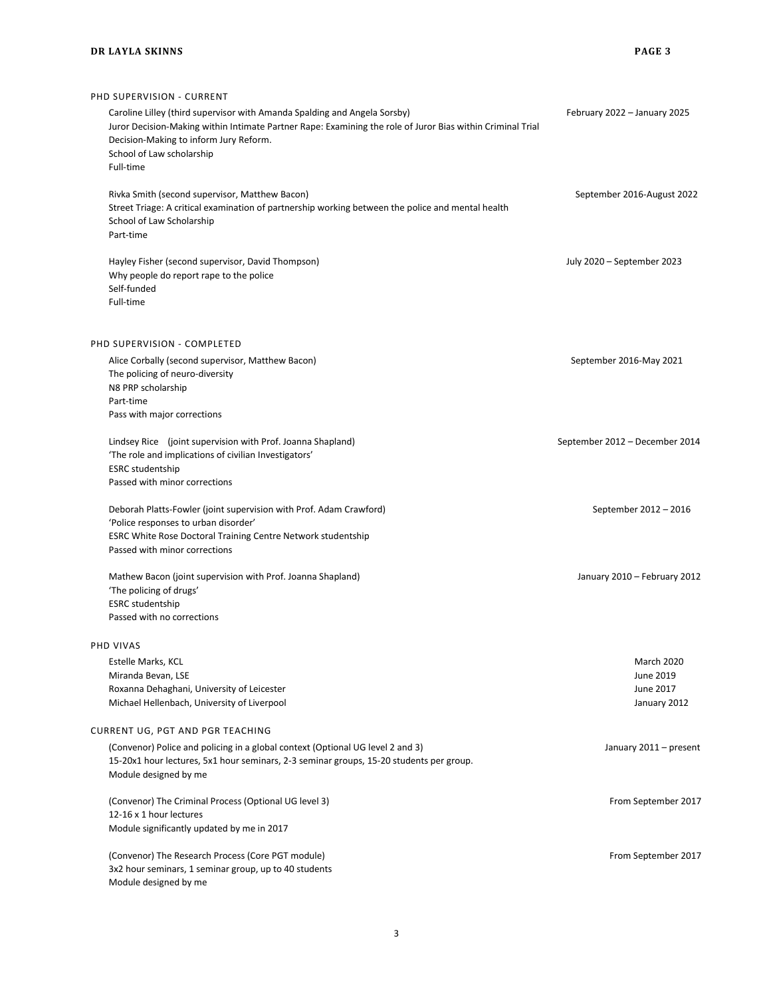# PHD SUPERVISION - CURRENT Caroline Lilley (third supervisor with Amanda Spalding and Angela Sorsby) February 2022 – January 2025 Juror Decision-Making within Intimate Partner Rape: Examining the role of Juror Bias within Criminal Trial Decision-Making to inform Jury Reform. School of Law scholarship Full-time Rivka Smith (second supervisor, Matthew Bacon) September 2016-August 2022 Street Triage: A critical examination of partnership working between the police and mental health School of Law Scholarship Part-time Hayley Fisher (second supervisor, David Thompson) July 2020 – September 2023 Why people do report rape to the police Self-funded Full-time PHD SUPERVISION - COMPLETED Alice Corbally (second supervisor, Matthew Bacon) and the state of the state of the September 2016-May 2021 The policing of neuro-diversity N8 PRP scholarship Part-time Pass with major corrections Lindsey Rice (joint supervision with Prof. Joanna Shapland) September 2012 – December 2014 'The role and implications of civilian Investigators' ESRC studentship Passed with minor corrections Deborah Platts-Fowler (joint supervision with Prof. Adam Crawford) September 2012 – 2016 'Police responses to urban disorder' ESRC White Rose Doctoral Training Centre Network studentship Passed with minor corrections Mathew Bacon (joint supervision with Prof. Joanna Shapland) January 2010 – February 2012 'The policing of drugs' ESRC studentship Passed with no corrections PHD VIVAS Estelle Marks, KCL March 2020 Miranda Bevan, LSE **June 2019** Roxanna Dehaghani, University of Leicester June 2017 Michael Hellenbach, University of Liverpool January 2012 CURRENT UG, PGT AND PGR TEACHING (Convenor) Police and policing in a global context (Optional UG level 2 and 3) January 2011 – present 15-20x1 hour lectures, 5x1 hour seminars, 2-3 seminar groups, 15-20 students per group. Module designed by me (Convenor) The Criminal Process (Optional UG level 3) September 2017 12-16 x 1 hour lectures Module significantly updated by me in 2017 (Convenor) The Research Process (Core PGT module) From September 2017

3

3x2 hour seminars, 1 seminar group, up to 40 students

Module designed by me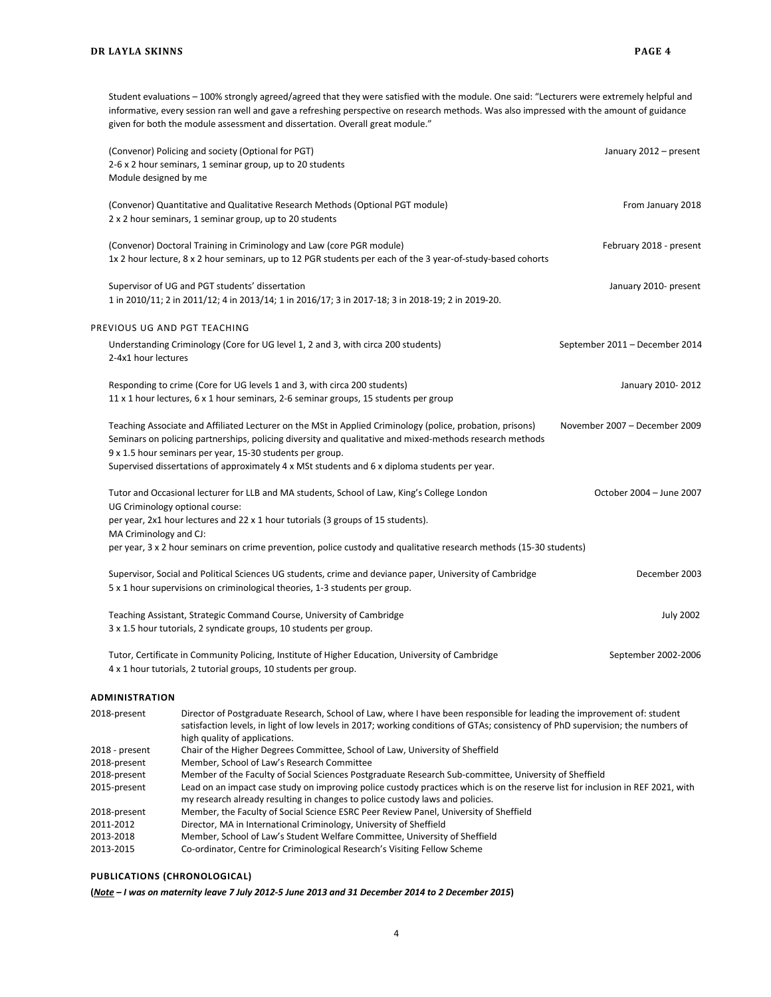Student evaluations – 100% strongly agreed/agreed that they were satisfied with the module. One said: "Lecturers were extremely helpful and informative, every session ran well and gave a refreshing perspective on research methods. Was also impressed with the amount of guidance given for both the module assessment and dissertation. Overall great module."

| Module designed by me          | (Convenor) Policing and society (Optional for PGT)<br>2-6 x 2 hour seminars, 1 seminar group, up to 20 students                                                                                                                                                                                                                                                                     | January 2012 - present         |
|--------------------------------|-------------------------------------------------------------------------------------------------------------------------------------------------------------------------------------------------------------------------------------------------------------------------------------------------------------------------------------------------------------------------------------|--------------------------------|
|                                | (Convenor) Quantitative and Qualitative Research Methods (Optional PGT module)<br>2 x 2 hour seminars, 1 seminar group, up to 20 students                                                                                                                                                                                                                                           | From January 2018              |
|                                | (Convenor) Doctoral Training in Criminology and Law (core PGR module)<br>1x 2 hour lecture, 8 x 2 hour seminars, up to 12 PGR students per each of the 3 year-of-study-based cohorts                                                                                                                                                                                                | February 2018 - present        |
|                                | Supervisor of UG and PGT students' dissertation<br>1 in 2010/11; 2 in 2011/12; 4 in 2013/14; 1 in 2016/17; 3 in 2017-18; 3 in 2018-19; 2 in 2019-20.                                                                                                                                                                                                                                | January 2010- present          |
| PREVIOUS UG AND PGT TEACHING   |                                                                                                                                                                                                                                                                                                                                                                                     |                                |
| 2-4x1 hour lectures            | Understanding Criminology (Core for UG level 1, 2 and 3, with circa 200 students)                                                                                                                                                                                                                                                                                                   | September 2011 - December 2014 |
|                                | Responding to crime (Core for UG levels 1 and 3, with circa 200 students)<br>11 x 1 hour lectures, 6 x 1 hour seminars, 2-6 seminar groups, 15 students per group                                                                                                                                                                                                                   | January 2010-2012              |
|                                | Teaching Associate and Affiliated Lecturer on the MSt in Applied Criminology (police, probation, prisons)<br>Seminars on policing partnerships, policing diversity and qualitative and mixed-methods research methods<br>9 x 1.5 hour seminars per year, 15-30 students per group.<br>Supervised dissertations of approximately 4 x MSt students and 6 x diploma students per year. | November 2007 - December 2009  |
| MA Criminology and CJ:         | Tutor and Occasional lecturer for LLB and MA students, School of Law, King's College London<br>UG Criminology optional course:<br>per year, 2x1 hour lectures and 22 x 1 hour tutorials (3 groups of 15 students).<br>per year, 3 x 2 hour seminars on crime prevention, police custody and qualitative research methods (15-30 students)                                           | October 2004 - June 2007       |
|                                | Supervisor, Social and Political Sciences UG students, crime and deviance paper, University of Cambridge<br>5 x 1 hour supervisions on criminological theories, 1-3 students per group.                                                                                                                                                                                             | December 2003                  |
|                                | Teaching Assistant, Strategic Command Course, University of Cambridge<br>3 x 1.5 hour tutorials, 2 syndicate groups, 10 students per group.                                                                                                                                                                                                                                         | <b>July 2002</b>               |
|                                | Tutor, Certificate in Community Policing, Institute of Higher Education, University of Cambridge<br>4 x 1 hour tutorials, 2 tutorial groups, 10 students per group.                                                                                                                                                                                                                 | September 2002-2006            |
| ADMINISTRATION                 |                                                                                                                                                                                                                                                                                                                                                                                     |                                |
| 2018-present                   | Director of Postgraduate Research, School of Law, where I have been responsible for leading the improvement of: student<br>satisfaction levels, in light of low levels in 2017; working conditions of GTAs; consistency of PhD supervision; the numbers of<br>high quality of applications.                                                                                         |                                |
| 2018 - present<br>2018-present | Chair of the Higher Degrees Committee, School of Law, University of Sheffield<br>Member, School of Law's Research Committee                                                                                                                                                                                                                                                         |                                |
| 2018-present<br>2015-present   | Member of the Faculty of Social Sciences Postgraduate Research Sub-committee, University of Sheffield<br>Lead on an impact case study on improving police custody practices which is on the reserve list for inclusion in REF 2021, with<br>my research already resulting in changes to police custody laws and policies.                                                           |                                |

- 2018-present Member, the Faculty of Social Science ESRC Peer Review Panel, University of Sheffield<br>2011-2012 Director, MA in International Criminology, University of Sheffield
- 
- 2011-2012 Director, MA in International Criminology, University of Sheffield Member, School of Law's Student Welfare Committee, University of Sheffield
- 2013-2015 Co-ordinator, Centre for Criminological Research's Visiting Fellow Scheme

## **PUBLICATIONS (CHRONOLOGICAL)**

**(***Note – I was on maternity leave 7 July 2012-5 June 2013 and 31 December 2014 to 2 December 2015***)**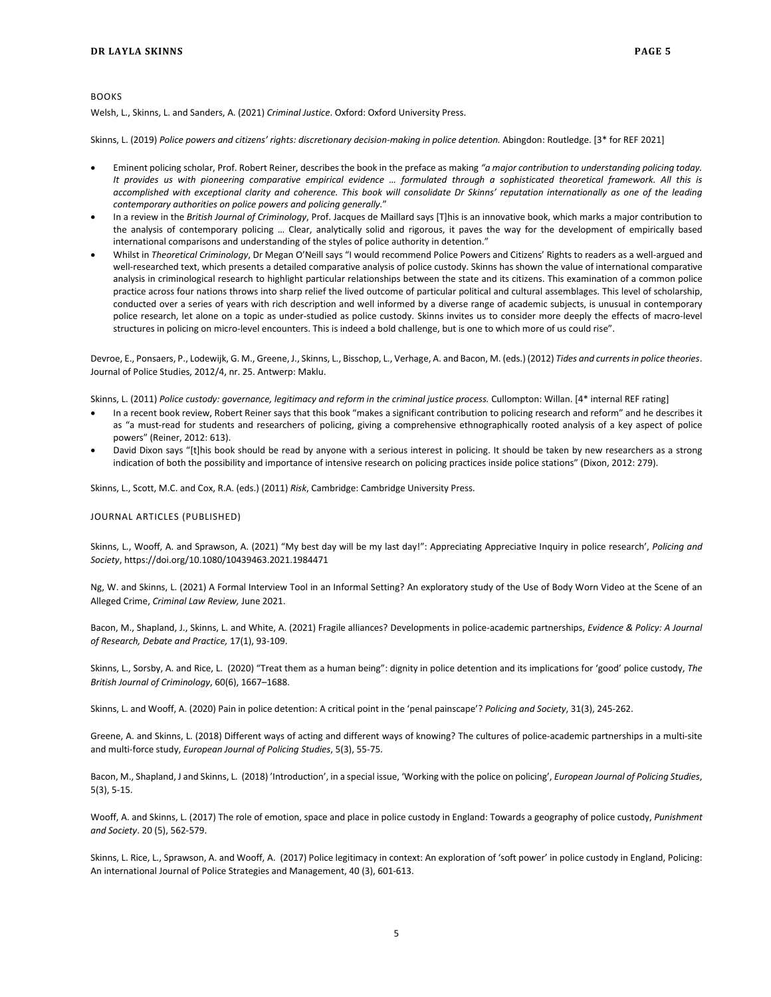Welsh, L., Skinns, L. and Sanders, A. (2021) *Criminal Justice*. Oxford: Oxford University Press.

Skinns, L. (2019) *Police powers and citizens' rights: discretionary decision-making in police detention.* Abingdon: Routledge. [3\* for REF 2021]

- Eminent policing scholar, Prof. Robert Reiner, describes the book in the preface as making *"a major contribution to understanding policing today. It provides us with pioneering comparative empirical evidence … formulated through a sophisticated theoretical framework. All this is accomplished with exceptional clarity and coherence. This book will consolidate Dr Skinns' reputation internationally as one of the leading contemporary authorities on police powers and policing generally.*"
- In a review in the *British Journal of Criminology*, Prof. Jacques de Maillard says [T]his is an innovative book, which marks a major contribution to the analysis of contemporary policing … Clear, analytically solid and rigorous, it paves the way for the development of empirically based international comparisons and understanding of the styles of police authority in detention."
- Whilst in *Theoretical Criminology*, Dr Megan O'Neill says "I would recommend Police Powers and Citizens' Rights to readers as a well-argued and well-researched text, which presents a detailed comparative analysis of police custody. Skinns has shown the value of international comparative analysis in criminological research to highlight particular relationships between the state and its citizens. This examination of a common police practice across four nations throws into sharp relief the lived outcome of particular political and cultural assemblages. This level of scholarship, conducted over a series of years with rich description and well informed by a diverse range of academic subjects, is unusual in contemporary police research, let alone on a topic as under-studied as police custody. Skinns invites us to consider more deeply the effects of macro-level structures in policing on micro-level encounters. This is indeed a bold challenge, but is one to which more of us could rise".

Devroe, E., Ponsaers, P., Lodewijk, G. M., Greene, J., Skinns, L., Bisschop, L., Verhage, A. and Bacon, M. (eds.) (2012) *Tides and currents in police theories*. Journal of Police Studies, 2012/4, nr. 25. Antwerp: Maklu.

Skinns, L. (2011) *Police custody: governance, legitimacy and reform in the criminal justice process.* Cullompton: Willan. [4\* internal REF rating]

- In a recent book review, Robert Reiner says that this book "makes a significant contribution to policing research and reform" and he describes it as "a must-read for students and researchers of policing, giving a comprehensive ethnographically rooted analysis of a key aspect of police powers" (Reiner, 2012: 613).
- David Dixon says "[t]his book should be read by anyone with a serious interest in policing. It should be taken by new researchers as a strong indication of both the possibility and importance of intensive research on policing practices inside police stations" (Dixon, 2012: 279).

Skinns, L., Scott, M.C. and Cox, R.A. (eds.) (2011) *Risk*, Cambridge: Cambridge University Press.

JOURNAL ARTICLES (PUBLISHED)

Skinns, L., Wooff, A. and Sprawson, A. (2021) "My best day will be my last day!": Appreciating Appreciative Inquiry in police research', *Policing and Society*, https://doi.org/10.1080/10439463.2021.1984471

Ng, W. and Skinns, L. (2021) A Formal Interview Tool in an Informal Setting? An exploratory study of the Use of Body Worn Video at the Scene of an Alleged Crime, *Criminal Law Review,* June 2021.

Bacon, M., Shapland, J., Skinns, L. and White, A. (2021) Fragile alliances? Developments in police-academic partnerships, *Evidence & Policy: A Journal of Research, Debate and Practice,* 17(1), 93-109.

Skinns, L., Sorsby, A. and Rice, L. (2020) "Treat them as a human being": dignity in police detention and its implications for 'good' police custody, *The British Journal of Criminology*, 60(6), 1667–1688.

Skinns, L. and Wooff, A. (2020) Pain in police detention: A critical point in the 'penal painscape'? *Policing and Society*, 31(3), 245-262.

Greene, A. and Skinns, L. (2018) Different ways of acting and different ways of knowing? The cultures of police-academic partnerships in a multi-site and multi-force study, *European Journal of Policing Studies*, 5(3), 55-75.

Bacon, M., Shapland, J and Skinns, L. (2018) 'Introduction', in a special issue, 'Working with the police on policing', *European Journal of Policing Studies*, 5(3), 5-15.

Wooff, A. and Skinns, L. (2017) The role of emotion, space and place in police custody in England: Towards a geography of police custody, *Punishment and Society*. 20 (5), 562-579.

Skinns, L. Rice, L., Sprawson, A. and Wooff, A. (2017) Police legitimacy in context: An exploration of 'soft power' in police custody in England, Policing: An international Journal of Police Strategies and Management, 40 (3), 601-613.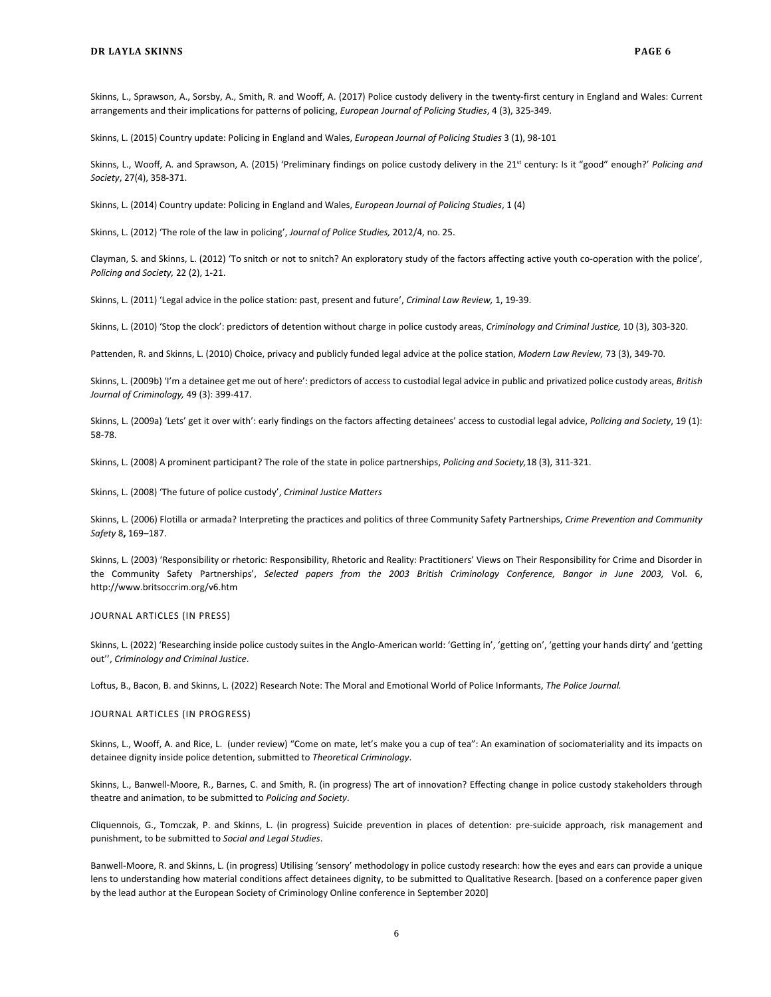Skinns, L., Sprawson, A., Sorsby, A., Smith, R. and Wooff, A. (2017) Police custody delivery in the twenty-first century in England and Wales: Current arrangements and their implications for patterns of policing, *European Journal of Policing Studies*, 4 (3), 325-349.

Skinns, L. (2015) Country update: Policing in England and Wales, *European Journal of Policing Studies* 3 (1), 98-101

Skinns, L., Wooff, A. and Sprawson, A. (2015) 'Preliminary findings on police custody delivery in the 21<sup>st</sup> century: Is it "good" enough?' Policing and *Society*, 27(4), 358-371.

Skinns, L. (2014) Country update: Policing in England and Wales, *European Journal of Policing Studies*, 1 (4)

Skinns, L. (2012) 'The role of the law in policing', *Journal of Police Studies,* 2012/4, no. 25.

Clayman, S. and Skinns, L. (2012) 'To snitch or not to snitch? An exploratory study of the factors affecting active youth co-operation with the police', *Policing and Society,* 22 (2), 1-21.

Skinns, L. (2011) 'Legal advice in the police station: past, present and future', *Criminal Law Review,* 1, 19-39.

Skinns, L. (2010) 'Stop the clock': predictors of detention without charge in police custody areas, *Criminology and Criminal Justice,* 10 (3), 303-320.

Pattenden, R. and Skinns, L. (2010) Choice, privacy and publicly funded legal advice at the police station, *Modern Law Review,* 73 (3), 349-70.

Skinns, L. (2009b) 'I'm a detainee get me out of here': predictors of access to custodial legal advice in public and privatized police custody areas, *British Journal of Criminology,* 49 (3): 399-417.

Skinns, L. (2009a) 'Lets' get it over with': early findings on the factors affecting detainees' access to custodial legal advice, *Policing and Society*, 19 (1): 58-78.

Skinns, L. (2008) A prominent participant? The role of the state in police partnerships, *Policing and Society,*18 (3), 311-321.

Skinns, L. (2008) 'The future of police custody', *Criminal Justice Matters*

Skinns, L. (2006) Flotilla or armada? Interpreting the practices and politics of three Community Safety Partnerships, *Crime Prevention and Community Safety* 8**,** 169–187.

Skinns, L. (2003) 'Responsibility or rhetoric[: Responsibility, Rhetoric and Reality: Practitioners' Views on Their Responsibility for Crime and Disorder in](http://www.britsoccrim.org/volume6/007.pdf)  [the Community Safety Partnerships',](http://www.britsoccrim.org/volume6/007.pdf) *[Selected papers from the 2003 British Criminology Conference, Bangor in June 2003,](http://www.britsoccrim.org/v6.htm)* Vol. 6, <http://www.britsoccrim.org/v6.htm>

JOURNAL ARTICLES (IN PRESS)

Skinns, L. (2022) 'Researching inside police custody suites in the Anglo-American world: 'Getting in', 'getting on', 'getting your hands dirty' and 'getting out'', *Criminology and Criminal Justice*.

Loftus, B., Bacon, B. and Skinns, L. (2022) Research Note: The Moral and Emotional World of Police Informants, *The Police Journal.*

JOURNAL ARTICLES (IN PROGRESS)

Skinns, L., Wooff, A. and Rice, L. (under review) "Come on mate, let's make you a cup of tea": An examination of sociomateriality and its impacts on detainee dignity inside police detention, submitted to *Theoretical Criminology*.

Skinns, L., Banwell-Moore, R., Barnes, C. and Smith, R. (in progress) The art of innovation? Effecting change in police custody stakeholders through theatre and animation, to be submitted to *Policing and Society*.

Cliquennois, G., Tomczak, P. and Skinns, L. (in progress) Suicide prevention in places of detention: pre-suicide approach, risk management and punishment, to be submitted to *Social and Legal Studies*.

Banwell-Moore, R. and Skinns, L. (in progress) Utilising 'sensory' methodology in police custody research: how the eyes and ears can provide a unique lens to understanding how material conditions affect detainees dignity, to be submitted to Qualitative Research. [based on a conference paper given by the lead author at the European Society of Criminology Online conference in September 2020]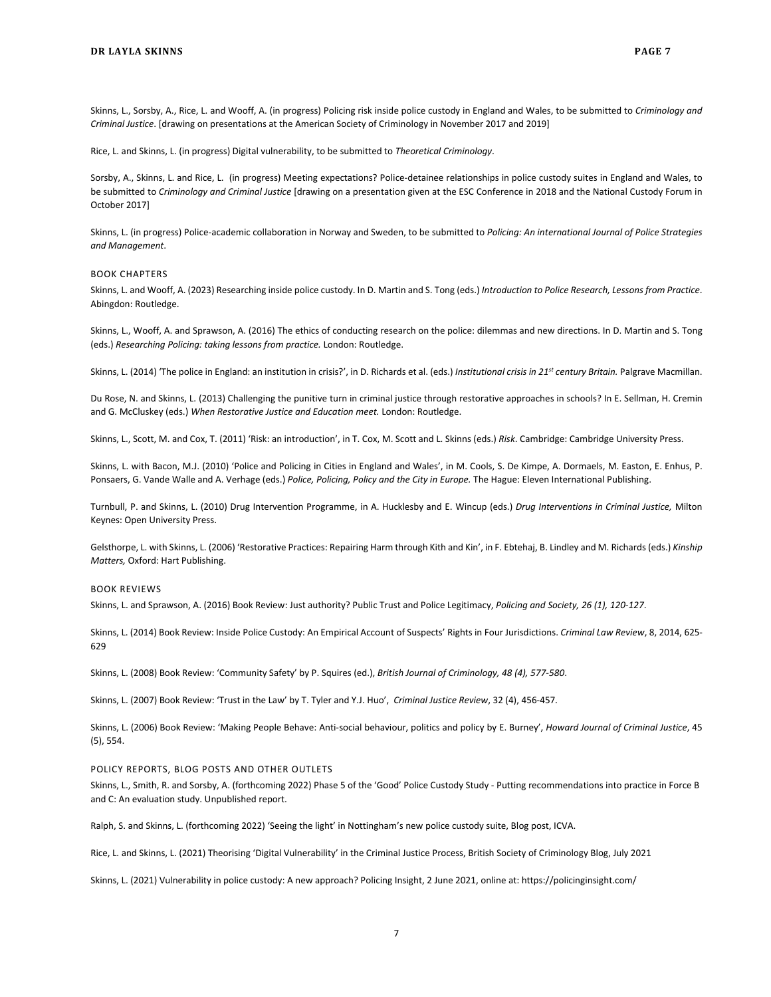Skinns, L., Sorsby, A., Rice, L. and Wooff, A. (in progress) Policing risk inside police custody in England and Wales, to be submitted to *Criminology and Criminal Justice*. [drawing on presentations at the American Society of Criminology in November 2017 and 2019]

Rice, L. and Skinns, L. (in progress) Digital vulnerability, to be submitted to *Theoretical Criminology*.

Sorsby, A., Skinns, L. and Rice, L. (in progress) Meeting expectations? Police-detainee relationships in police custody suites in England and Wales, to be submitted to *Criminology and Criminal Justice* [drawing on a presentation given at the ESC Conference in 2018 and the National Custody Forum in October 2017]

Skinns, L. (in progress) Police-academic collaboration in Norway and Sweden, to be submitted to *Policing: An international Journal of Police Strategies and Management*.

#### BOOK CHAPTERS

Skinns, L. and Wooff, A. (2023) Researching inside police custody. In D. Martin and S. Tong (eds.) *Introduction to Police Research, Lessons from Practice*. Abingdon: Routledge.

Skinns, L., Wooff, A. and Sprawson, A. (2016) The ethics of conducting research on the police: dilemmas and new directions. In D. Martin and S. Tong (eds.) *Researching Policing: taking lessons from practice.* London: Routledge.

Skinns, L. (2014) 'The police in England: an institution in crisis?', in D. Richards et al. (eds.) *Institutional crisis in 21st century Britain.* Palgrave Macmillan.

Du Rose, N. and Skinns, L. (2013) Challenging the punitive turn in criminal justice through restorative approaches in schools? In E. Sellman, H. Cremin and G. McCluskey (eds.) *When Restorative Justice and Education meet.* London: Routledge.

Skinns, L., Scott, M. and Cox, T. (2011) 'Risk: an introduction', in T. Cox, M. Scott and L. Skinns (eds.) *Risk*. Cambridge: Cambridge University Press.

Skinns, L. with Bacon, M.J. (2010) 'Police and Policing in Cities in England and Wales', in M. Cools, S. De Kimpe, A. Dormaels, M. Easton, E. Enhus, P. Ponsaers, G. Vande Walle and A. Verhage (eds.) *Police, Policing, Policy and the City in Europe.* The Hague: Eleven International Publishing.

Turnbull, P. and Skinns, L. (2010) Drug Intervention Programme, in A. Hucklesby and E. Wincup (eds.) *Drug Interventions in Criminal Justice,* Milton Keynes: Open University Press.

Gelsthorpe, L. with Skinns, L. (2006) 'Restorative Practices: Repairing Harm through Kith and Kin', in F. Ebtehaj, B. Lindley and M. Richards (eds.) *Kinship Matters,* Oxford: Hart Publishing.

### BOOK REVIEWS

Skinns, L. and Sprawson, A. (2016) Book Review: Just authority? Public Trust and Police Legitimacy, *Policing and Society, 26 (1), 120-127*.

Skinns, L. (2014) Book Review: Inside Police Custody: An Empirical Account of Suspects' Rights in Four Jurisdictions. *Criminal Law Review*, 8, 2014, 625- 629

Skinns, L. (2008) Book Review: 'Community Safety' by P. Squires (ed.), *British Journal of Criminology, 48 (4), 577-580*.

Skinns, L. (2007) Book Review: 'Trust in the Law' by T. Tyler and Y.J. Huo', *Criminal Justice Review*, 32 (4), 456-457.

Skinns, L. (2006) Book Review: 'Making People Behave: Anti-social behaviour, politics and policy by E. Burney', *Howard Journal of Criminal Justice*, 45 (5), 554.

#### POLICY REPORTS, BLOG POSTS AND OTHER OUTLETS

Skinns, L., Smith, R. and Sorsby, A. (forthcoming 2022) Phase 5 of the 'Good' Police Custody Study - Putting recommendations into practice in Force B and C: An evaluation study. Unpublished report.

Ralph, S. and Skinns, L. (forthcoming 2022) 'Seeing the light' in Nottingham's new police custody suite, Blog post, ICVA.

Rice, L. and Skinns, L. (2021) Theorising 'Digital Vulnerability' in the Criminal Justice Process, British Society of Criminology Blog, July 2021

Skinns, L. (2021) Vulnerability in police custody: A new approach? Policing Insight, 2 June 2021, online at: https://policinginsight.com/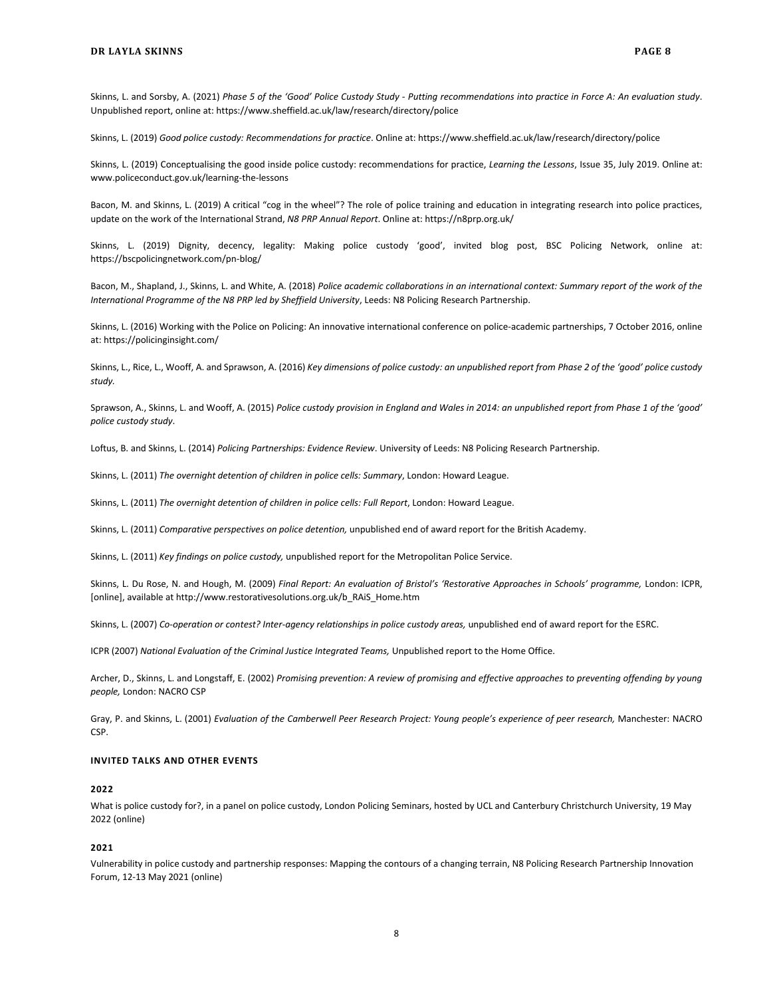Skinns, L. and Sorsby, A. (2021) *Phase 5 of the 'Good' Police Custody Study - Putting recommendations into practice in Force A: An evaluation study*. Unpublished report, online at: https://www.sheffield.ac.uk/law/research/directory/police

Skinns, L. (2019) *Good police custody: Recommendations for practice*. Online at: https://www.sheffield.ac.uk/law/research/directory/police

Skinns, L. (2019) Conceptualising the good inside police custody: recommendations for practice, *Learning the Lessons*, Issue 35, July 2019. Online at: www.policeconduct.gov.uk/learning-the-lessons

Bacon, M. and Skinns, L. (2019) A critical "cog in the wheel"? The role of police training and education in integrating research into police practices, update on the work of the International Strand, *N8 PRP Annual Report*. Online at: https://n8prp.org.uk/

Skinns, L. (2019) Dignity, decency, legality: Making police custody 'good', invited blog post, BSC Policing Network, online at: https://bscpolicingnetwork.com/pn-blog/

Bacon, M., Shapland, J., Skinns, L. and White, A. (2018) *Police academic collaborations in an international context: Summary report of the work of the International Programme of the N8 PRP led by Sheffield University*, Leeds: N8 Policing Research Partnership.

Skinns, L. (2016) Working with the Police on Policing: An innovative international conference on police-academic partnerships, 7 October 2016, online at[: https://policinginsight.com/](https://policinginsight.com/)

Skinns, L., Rice, L., Wooff, A. and Sprawson, A. (2016) *Key dimensions of police custody: an unpublished report from Phase 2 of the 'good' police custody study.*

Sprawson, A., Skinns, L. and Wooff, A. (2015) *Police custody provision in England and Wales in 2014: an unpublished report from Phase 1 of the 'good' police custody study*.

Loftus, B. and Skinns, L. (2014) *Policing Partnerships: Evidence Review*. University of Leeds: N8 Policing Research Partnership.

Skinns, L. (2011) *The overnight detention of children in police cells: Summary*, London: Howard League.

Skinns, L. (2011) *The overnight detention of children in police cells: Full Report*, London: Howard League.

Skinns, L. (2011) *Comparative perspectives on police detention,* unpublished end of award report for the British Academy.

Skinns, L. (2011) *Key findings on police custody,* unpublished report for the Metropolitan Police Service.

Skinns, L. Du Rose, N. and Hough, M. (2009) *Final Report: An evaluation of Bristol's 'Restorative Approaches in Schools' programme,* London: ICPR, [online], available a[t http://www.restorativesolutions.org.uk/b\\_RAiS\\_Home.htm](http://www.restorativesolutions.org.uk/b_RAiS_Home.htm)

Skinns, L. (2007) *Co-operation or contest? Inter-agency relationships in police custody areas,* unpublished end of award report for the ESRC.

ICPR (2007) *National Evaluation of the Criminal Justice Integrated Teams,* Unpublished report to the Home Office.

Archer, D., Skinns, L. and Longstaff, E. (2002) *Promising prevention: A review of promising and effective approaches to preventing offending by young people,* London: NACRO CSP

Gray, P. and Skinns, L. (2001) *Evaluation of the Camberwell Peer Research Project: Young people's experience of peer research,* Manchester: NACRO CSP.

#### **INVITED TALKS AND OTHER EVENTS**

#### **2022**

What is police custody for?, in a panel on police custody, London Policing Seminars, hosted by UCL and Canterbury Christchurch University, 19 May 2022 (online)

#### **2021**

Vulnerability in police custody and partnership responses: Mapping the contours of a changing terrain, N8 Policing Research Partnership Innovation Forum, 12-13 May 2021 (online)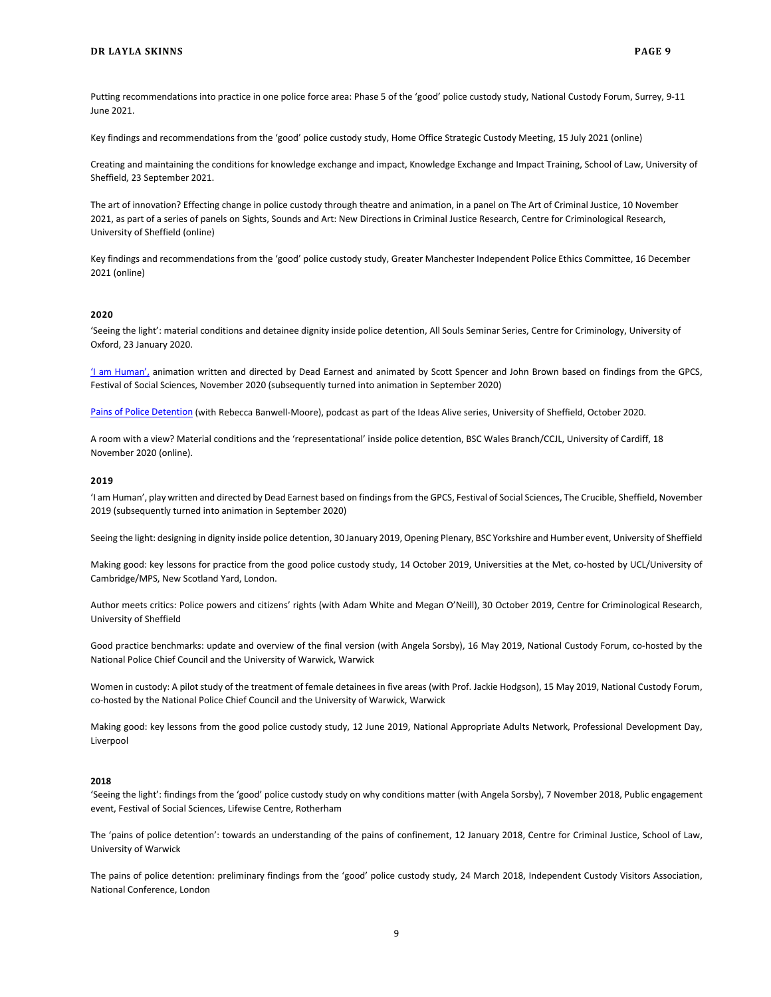Putting recommendations into practice in one police force area: Phase 5 of the 'good' police custody study, National Custody Forum, Surrey, 9-11 June 2021.

Key findings and recommendations from the 'good' police custody study, Home Office Strategic Custody Meeting, 15 July 2021 (online)

Creating and maintaining the conditions for knowledge exchange and impact, Knowledge Exchange and Impact Training, School of Law, University of Sheffield, 23 September 2021.

The art of innovation? Effecting change in police custody through theatre and animation, in a panel on The Art of Criminal Justice, 10 November 2021, as part of a series of panels on Sights, Sounds and Art: New Directions in Criminal Justice Research, Centre for Criminological Research, University of Sheffield (online)

Key findings and recommendations from the 'good' police custody study, Greater Manchester Independent Police Ethics Committee, 16 December 2021 (online)

#### **2020**

'Seeing the light': material conditions and detainee dignity inside police detention, All Souls Seminar Series, Centre for Criminology, University of Oxford, 23 January 2020.

['I am Human',](https://understandingsociety.sheffield.ac.uk/2020/events/i-am-human/) animation written and directed by Dead Earnest and animated by Scott Spencer and John Brown based on findings from the GPCS, Festival of Social Sciences, November 2020 (subsequently turned into animation in September 2020)

[Pains of Police Detention](https://www.offtheshelf.org.uk/ideas-alive/) (with Rebecca Banwell-Moore), podcast as part of the Ideas Alive series, University of Sheffield, October 2020.

A room with a view? Material conditions and the 'representational' inside police detention, BSC Wales Branch/CCJL, University of Cardiff, 18 November 2020 (online).

#### **2019**

'I am Human', play written and directed by Dead Earnest based on findings from the GPCS, Festival of Social Sciences, The Crucible, Sheffield, November 2019 (subsequently turned into animation in September 2020)

Seeing the light: designing in dignity inside police detention, 30 January 2019, Opening Plenary, BSC Yorkshire and Humber event, University of Sheffield

Making good: key lessons for practice from the good police custody study, 14 October 2019, Universities at the Met, co-hosted by UCL/University of Cambridge/MPS, New Scotland Yard, London.

Author meets critics: Police powers and citizens' rights (with Adam White and Megan O'Neill), 30 October 2019, Centre for Criminological Research, University of Sheffield

Good practice benchmarks: update and overview of the final version (with Angela Sorsby), 16 May 2019, National Custody Forum, co-hosted by the National Police Chief Council and the University of Warwick, Warwick

Women in custody: A pilot study of the treatment of female detainees in five areas (with Prof. Jackie Hodgson), 15 May 2019, National Custody Forum, co-hosted by the National Police Chief Council and the University of Warwick, Warwick

Making good: key lessons from the good police custody study, 12 June 2019, National Appropriate Adults Network, Professional Development Day, Liverpool

#### **2018**

'Seeing the light': findings from the 'good' police custody study on why conditions matter (with Angela Sorsby), 7 November 2018, Public engagement event, Festival of Social Sciences, Lifewise Centre, Rotherham

The 'pains of police detention': towards an understanding of the pains of confinement, 12 January 2018, Centre for Criminal Justice, School of Law, University of Warwick

The pains of police detention: preliminary findings from the 'good' police custody study, 24 March 2018, Independent Custody Visitors Association, National Conference, London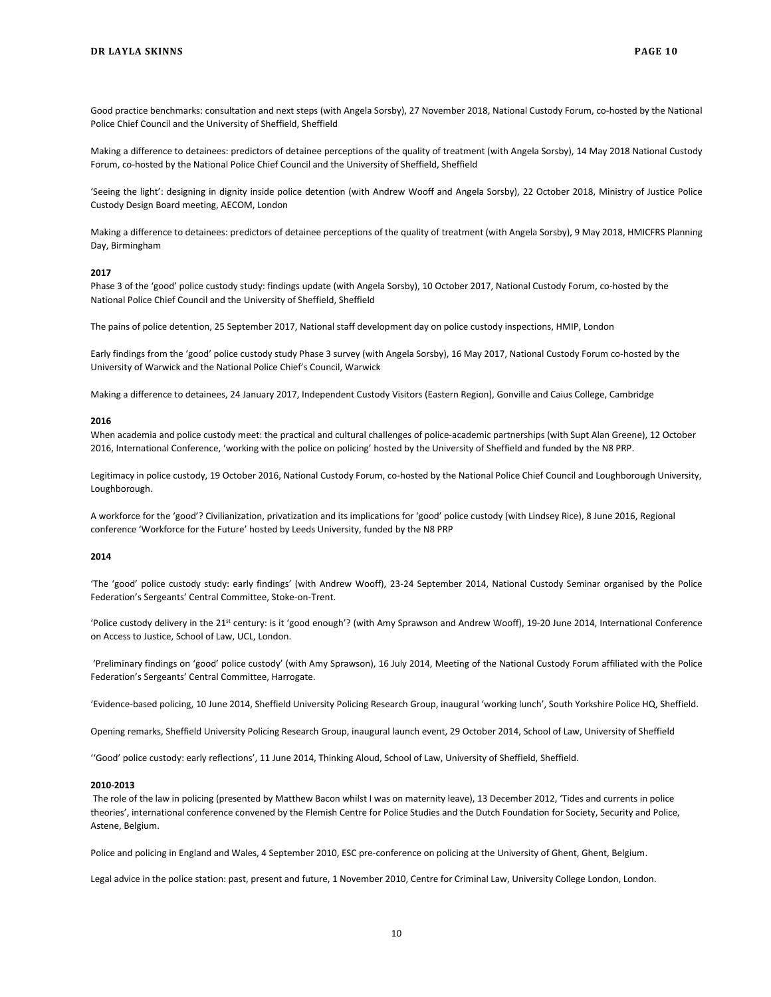Good practice benchmarks: consultation and next steps (with Angela Sorsby), 27 November 2018, National Custody Forum, co-hosted by the National Police Chief Council and the University of Sheffield, Sheffield

Making a difference to detainees: predictors of detainee perceptions of the quality of treatment (with Angela Sorsby), 14 May 2018 National Custody Forum, co-hosted by the National Police Chief Council and the University of Sheffield, Sheffield

'Seeing the light': designing in dignity inside police detention (with Andrew Wooff and Angela Sorsby), 22 October 2018, Ministry of Justice Police Custody Design Board meeting, AECOM, London

Making a difference to detainees: predictors of detainee perceptions of the quality of treatment (with Angela Sorsby), 9 May 2018, HMICFRS Planning Day, Birmingham

#### **2017**

Phase 3 of the 'good' police custody study: findings update (with Angela Sorsby), 10 October 2017, National Custody Forum, co-hosted by the National Police Chief Council and the University of Sheffield, Sheffield

The pains of police detention, 25 September 2017, National staff development day on police custody inspections, HMIP, London

Early findings from the 'good' police custody study Phase 3 survey (with Angela Sorsby), 16 May 2017, National Custody Forum co-hosted by the University of Warwick and the National Police Chief's Council, Warwick

Making a difference to detainees, 24 January 2017, Independent Custody Visitors (Eastern Region), Gonville and Caius College, Cambridge

#### **2016**

When academia and police custody meet: the practical and cultural challenges of police-academic partnerships (with Supt Alan Greene), 12 October 2016, International Conference, 'working with the police on policing' hosted by the University of Sheffield and funded by the N8 PRP.

Legitimacy in police custody, 19 October 2016, National Custody Forum, co-hosted by the National Police Chief Council and Loughborough University, Loughborough.

A workforce for the 'good'? Civilianization, privatization and its implications for 'good' police custody (with Lindsey Rice), 8 June 2016, Regional conference 'Workforce for the Future' hosted by Leeds University, funded by the N8 PRP

#### **2014**

'The 'good' police custody study: early findings' (with Andrew Wooff), 23-24 September 2014, National Custody Seminar organised by the Police Federation's Sergeants' Central Committee, Stoke-on-Trent.

'Police custody delivery in the 21st century: is it 'good enough'? (with Amy Sprawson and Andrew Wooff), 19-20 June 2014, International Conference on Access to Justice, School of Law, UCL, London.

'Preliminary findings on 'good' police custody' (with Amy Sprawson), 16 July 2014, Meeting of the National Custody Forum affiliated with the Police Federation's Sergeants' Central Committee, Harrogate.

'Evidence-based policing, 10 June 2014, Sheffield University Policing Research Group, inaugural 'working lunch', South Yorkshire Police HQ, Sheffield.

Opening remarks, Sheffield University Policing Research Group, inaugural launch event, 29 October 2014, School of Law, University of Sheffield

''Good' police custody: early reflections', 11 June 2014, Thinking Aloud, School of Law, University of Sheffield, Sheffield.

#### **2010-2013**

The role of the law in policing (presented by Matthew Bacon whilst I was on maternity leave), 13 December 2012, 'Tides and currents in police theories', international conference convened by the Flemish Centre for Police Studies and the Dutch Foundation for Society, Security and Police, Astene, Belgium.

Police and policing in England and Wales, 4 September 2010, ESC pre-conference on policing at the University of Ghent, Ghent, Belgium.

Legal advice in the police station: past, present and future, 1 November 2010, Centre for Criminal Law, University College London, London.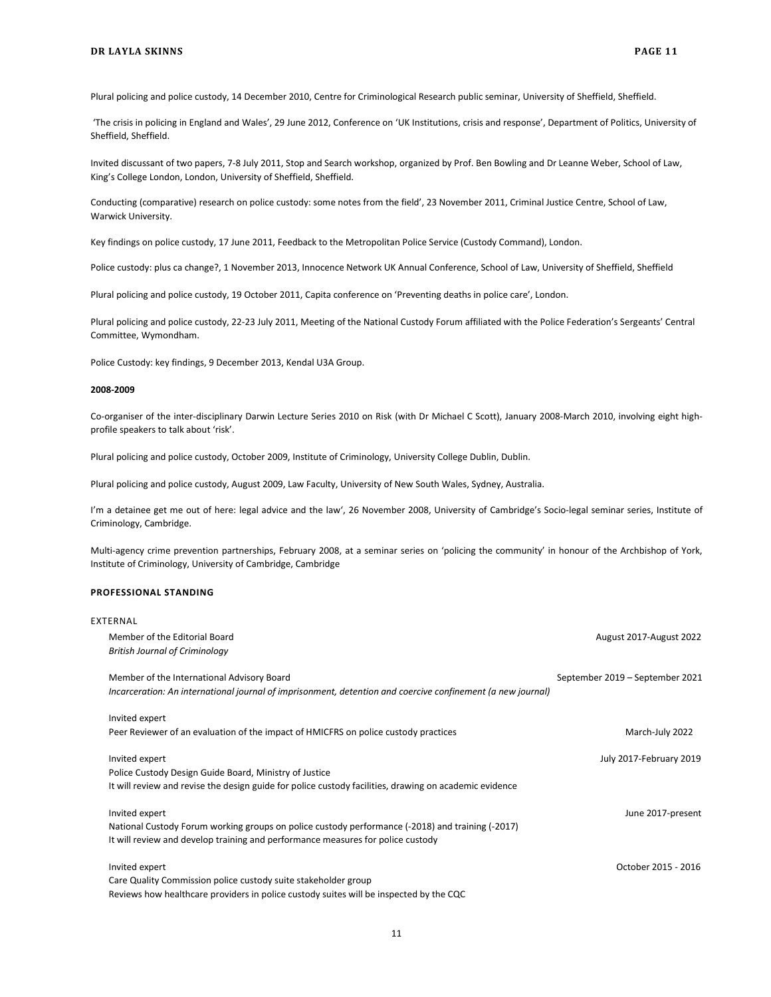Plural policing and police custody, 14 December 2010, Centre for Criminological Research public seminar, University of Sheffield, Sheffield.

'The crisis in policing in England and Wales', 29 June 2012, Conference on 'UK Institutions, crisis and response', Department of Politics, University of Sheffield, Sheffield.

Invited discussant of two papers, 7-8 July 2011, Stop and Search workshop, organized by Prof. Ben Bowling and Dr Leanne Weber, School of Law, King's College London, London, University of Sheffield, Sheffield.

Conducting (comparative) research on police custody: some notes from the field', 23 November 2011, Criminal Justice Centre, School of Law, Warwick University.

Key findings on police custody, 17 June 2011, Feedback to the Metropolitan Police Service (Custody Command), London.

Police custody: plus ca change?, 1 November 2013, Innocence Network UK Annual Conference, School of Law, University of Sheffield, Sheffield

Plural policing and police custody, 19 October 2011, Capita conference on 'Preventing deaths in police care', London.

Plural policing and police custody, 22-23 July 2011, Meeting of the National Custody Forum affiliated with the Police Federation's Sergeants' Central Committee, Wymondham.

Police Custody: key findings, 9 December 2013, Kendal U3A Group.

#### **2008-2009**

Co-organiser of the inter-disciplinary Darwin Lecture Series 2010 on Risk (with Dr Michael C Scott), January 2008-March 2010, involving eight highprofile speakers to talk about 'risk'.

Plural policing and police custody, October 2009, Institute of Criminology, University College Dublin, Dublin.

Plural policing and police custody, August 2009, Law Faculty, University of New South Wales, Sydney, Australia.

I'm a detainee get me out of here: legal advice and the law', 26 November 2008, University of Cambridge's Socio-legal seminar series, Institute of Criminology, Cambridge.

Multi-agency crime prevention partnerships, February 2008, at a seminar series on 'policing the community' in honour of the Archbishop of York, Institute of Criminology, University of Cambridge, Cambridge

#### **PROFESSIONAL STANDING**

| EXTERNAL                                                                                                    |                                 |
|-------------------------------------------------------------------------------------------------------------|---------------------------------|
| Member of the Editorial Board                                                                               | August 2017-August 2022         |
| <b>British Journal of Criminology</b>                                                                       |                                 |
| Member of the International Advisory Board                                                                  | September 2019 – September 2021 |
| Incarceration: An international journal of imprisonment, detention and coercive confinement (a new journal) |                                 |
| Invited expert                                                                                              |                                 |
| Peer Reviewer of an evaluation of the impact of HMICFRS on police custody practices                         | March-July 2022                 |
| Invited expert                                                                                              | July 2017-February 2019         |
| Police Custody Design Guide Board, Ministry of Justice                                                      |                                 |
| It will review and revise the design guide for police custody facilities, drawing on academic evidence      |                                 |
| Invited expert                                                                                              | June 2017-present               |
| National Custody Forum working groups on police custody performance (-2018) and training (-2017)            |                                 |
| It will review and develop training and performance measures for police custody                             |                                 |
| Invited expert                                                                                              | October 2015 - 2016             |
| Care Quality Commission police custody suite stakeholder group                                              |                                 |
| Reviews how healthcare providers in police custody suites will be inspected by the CQC                      |                                 |